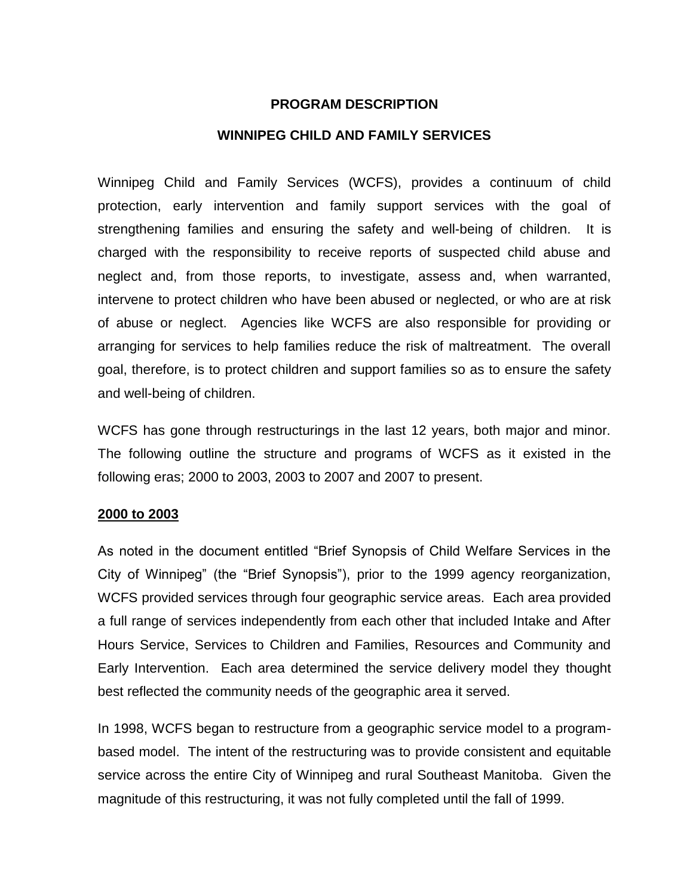### **PROGRAM DESCRIPTION**

### **WINNIPEG CHILD AND FAMILY SERVICES**

Winnipeg Child and Family Services (WCFS), provides a continuum of child protection, early intervention and family support services with the goal of strengthening families and ensuring the safety and well-being of children. It is charged with the responsibility to receive reports of suspected child abuse and neglect and, from those reports, to investigate, assess and, when warranted, intervene to protect children who have been abused or neglected, or who are at risk of abuse or neglect. Agencies like WCFS are also responsible for providing or arranging for services to help families reduce the risk of maltreatment. The overall goal, therefore, is to protect children and support families so as to ensure the safety and well-being of children.

WCFS has gone through restructurings in the last 12 years, both major and minor. The following outline the structure and programs of WCFS as it existed in the following eras; 2000 to 2003, 2003 to 2007 and 2007 to present.

### **2000 to 2003**

As noted in the document entitled "Brief Synopsis of Child Welfare Services in the City of Winnipeg" (the "Brief Synopsis"), prior to the 1999 agency reorganization, WCFS provided services through four geographic service areas. Each area provided a full range of services independently from each other that included Intake and After Hours Service, Services to Children and Families, Resources and Community and Early Intervention. Each area determined the service delivery model they thought best reflected the community needs of the geographic area it served.

In 1998, WCFS began to restructure from a geographic service model to a programbased model. The intent of the restructuring was to provide consistent and equitable service across the entire City of Winnipeg and rural Southeast Manitoba. Given the magnitude of this restructuring, it was not fully completed until the fall of 1999.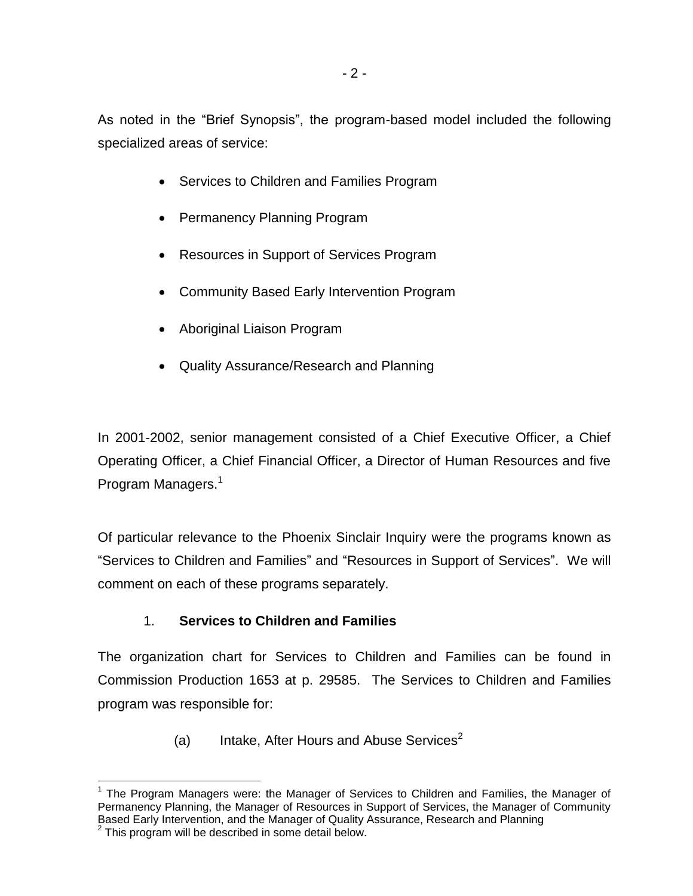As noted in the "Brief Synopsis", the program-based model included the following specialized areas of service:

- Services to Children and Families Program
- Permanency Planning Program
- Resources in Support of Services Program
- Community Based Early Intervention Program
- Aboriginal Liaison Program
- Quality Assurance/Research and Planning

In 2001-2002, senior management consisted of a Chief Executive Officer, a Chief Operating Officer, a Chief Financial Officer, a Director of Human Resources and five Program Managers.<sup>1</sup>

Of particular relevance to the Phoenix Sinclair Inquiry were the programs known as "Services to Children and Families" and "Resources in Support of Services". We will comment on each of these programs separately.

# 1. **Services to Children and Families**

The organization chart for Services to Children and Families can be found in Commission Production 1653 at p. 29585. The Services to Children and Families program was responsible for:

(a) Intake, After Hours and Abuse Services<sup>2</sup>

l  $1$  The Program Managers were: the Manager of Services to Children and Families, the Manager of Permanency Planning, the Manager of Resources in Support of Services, the Manager of Community Based Early Intervention, and the Manager of Quality Assurance, Research and Planning

 $2$  This program will be described in some detail below.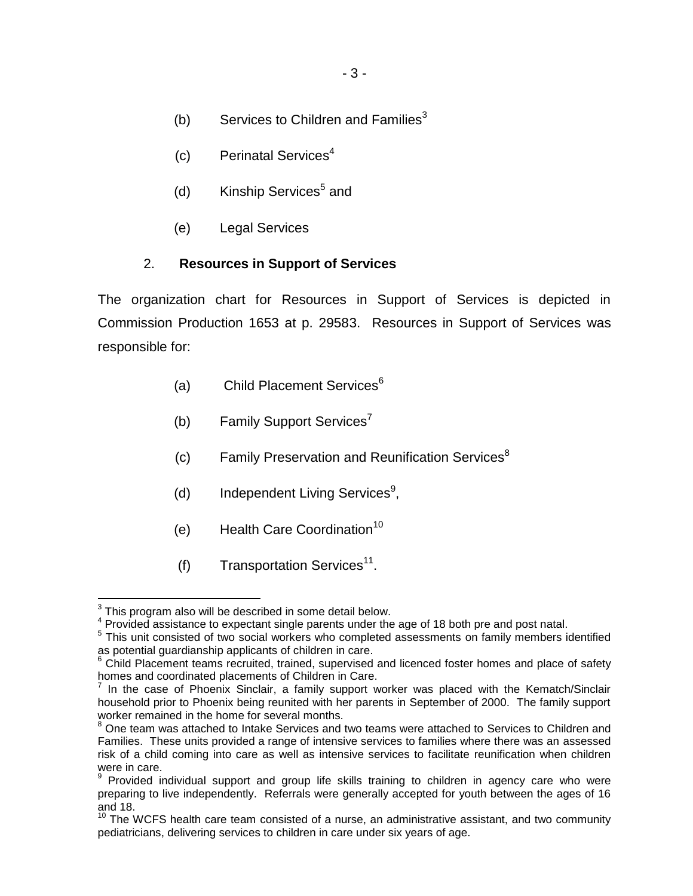- (b) Services to Children and Families<sup>3</sup>
- (c) Perinatal Services 4
- (d) Kinship Services<sup>5</sup> and
- (e) Legal Services

## 2. **Resources in Support of Services**

The organization chart for Resources in Support of Services is depicted in Commission Production 1653 at p. 29583. Resources in Support of Services was responsible for:

- (a) Child Placement Services $6$
- (b) Family Support Services<sup>7</sup>
- $(c)$  Family Preservation and Reunification Services<sup>8</sup>
- (d) Independent Living Services<sup>9</sup>,
- $(e)$  Health Care Coordination<sup>10</sup>
- (f) Transportation Services<sup>11</sup>.

 3 This program also will be described in some detail below.

<sup>&</sup>lt;sup>4</sup> Provided assistance to expectant single parents under the age of 18 both pre and post natal.

<sup>&</sup>lt;sup>5</sup> This unit consisted of two social workers who completed assessments on family members identified as potential guardianship applicants of children in care.

<sup>&</sup>lt;sup>6</sup> Child Placement teams recruited, trained, supervised and licenced foster homes and place of safety homes and coordinated placements of Children in Care.

 $<sup>7</sup>$  In the case of Phoenix Sinclair, a family support worker was placed with the Kematch/Sinclair</sup> household prior to Phoenix being reunited with her parents in September of 2000. The family support worker remained in the home for several months.

<sup>&</sup>lt;sup>8</sup> One team was attached to Intake Services and two teams were attached to Services to Children and Families. These units provided a range of intensive services to families where there was an assessed risk of a child coming into care as well as intensive services to facilitate reunification when children were in care.

<sup>&</sup>lt;sup>9</sup> Provided individual support and group life skills training to children in agency care who were preparing to live independently. Referrals were generally accepted for youth between the ages of 16 and 18.

and 10.<br><sup>10</sup> The WCFS health care team consisted of a nurse, an administrative assistant, and two community pediatricians, delivering services to children in care under six years of age.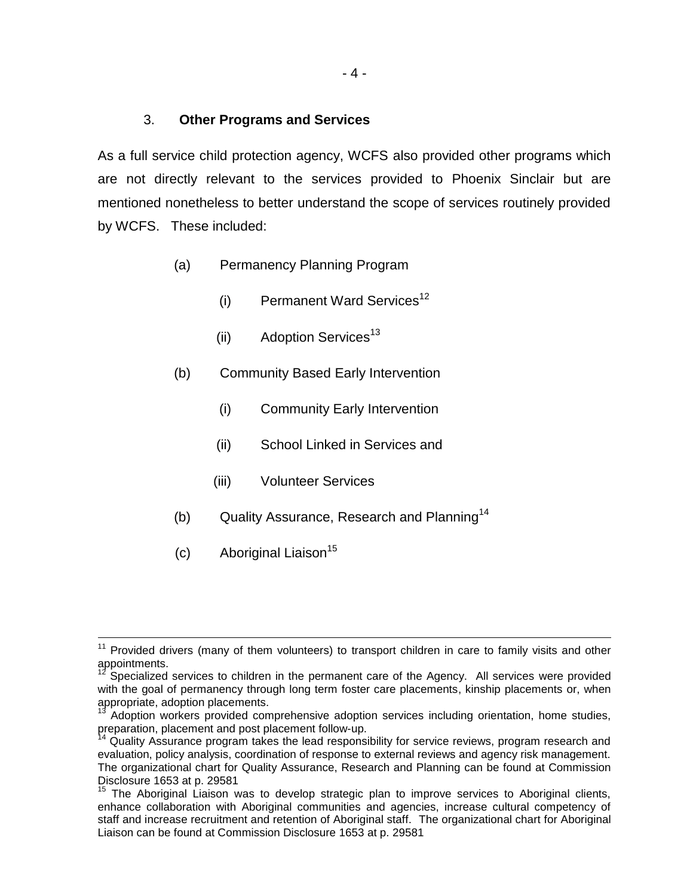### 3. **Other Programs and Services**

As a full service child protection agency, WCFS also provided other programs which are not directly relevant to the services provided to Phoenix Sinclair but are mentioned nonetheless to better understand the scope of services routinely provided by WCFS. These included:

- (a) Permanency Planning Program
	- $(i)$  Permanent Ward Services<sup>12</sup>
	- (ii)  $\sim$  Adoption Services<sup>13</sup>
- (b) Community Based Early Intervention
	- (i) Community Early Intervention
	- (ii) School Linked in Services and
	- (iii) Volunteer Services
- (b) Quality Assurance, Research and Planning<sup>14</sup>
- $(c)$  Aboriginal Liaison<sup>15</sup>

l

 $11$  Provided drivers (many of them volunteers) to transport children in care to family visits and other appointments.

Specialized services to children in the permanent care of the Agency. All services were provided with the goal of permanency through long term foster care placements, kinship placements or, when appropriate, adoption placements.

Adoption workers provided comprehensive adoption services including orientation, home studies, preparation, placement and post placement follow-up.<br><sup>14</sup> Ouality Assurance program takes the lead responsi

Quality Assurance program takes the lead responsibility for service reviews, program research and evaluation, policy analysis, coordination of response to external reviews and agency risk management. The organizational chart for Quality Assurance, Research and Planning can be found at Commission Disclosure 1653 at p. 29581

 $15$  The Aboriginal Liaison was to develop strategic plan to improve services to Aboriginal clients, enhance collaboration with Aboriginal communities and agencies, increase cultural competency of staff and increase recruitment and retention of Aboriginal staff. The organizational chart for Aboriginal Liaison can be found at Commission Disclosure 1653 at p. 29581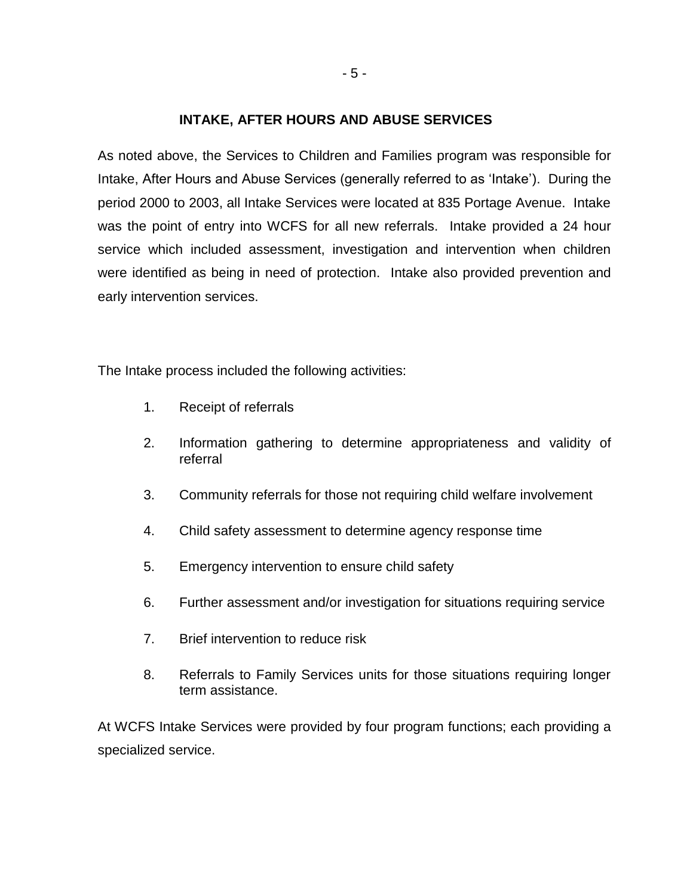### **INTAKE, AFTER HOURS AND ABUSE SERVICES**

As noted above, the Services to Children and Families program was responsible for Intake, After Hours and Abuse Services (generally referred to as 'Intake'). During the period 2000 to 2003, all Intake Services were located at 835 Portage Avenue. Intake was the point of entry into WCFS for all new referrals. Intake provided a 24 hour service which included assessment, investigation and intervention when children were identified as being in need of protection. Intake also provided prevention and early intervention services.

The Intake process included the following activities:

- 1. Receipt of referrals
- 2. Information gathering to determine appropriateness and validity of referral
- 3. Community referrals for those not requiring child welfare involvement
- 4. Child safety assessment to determine agency response time
- 5. Emergency intervention to ensure child safety
- 6. Further assessment and/or investigation for situations requiring service
- 7. Brief intervention to reduce risk
- 8. Referrals to Family Services units for those situations requiring longer term assistance.

At WCFS Intake Services were provided by four program functions; each providing a specialized service.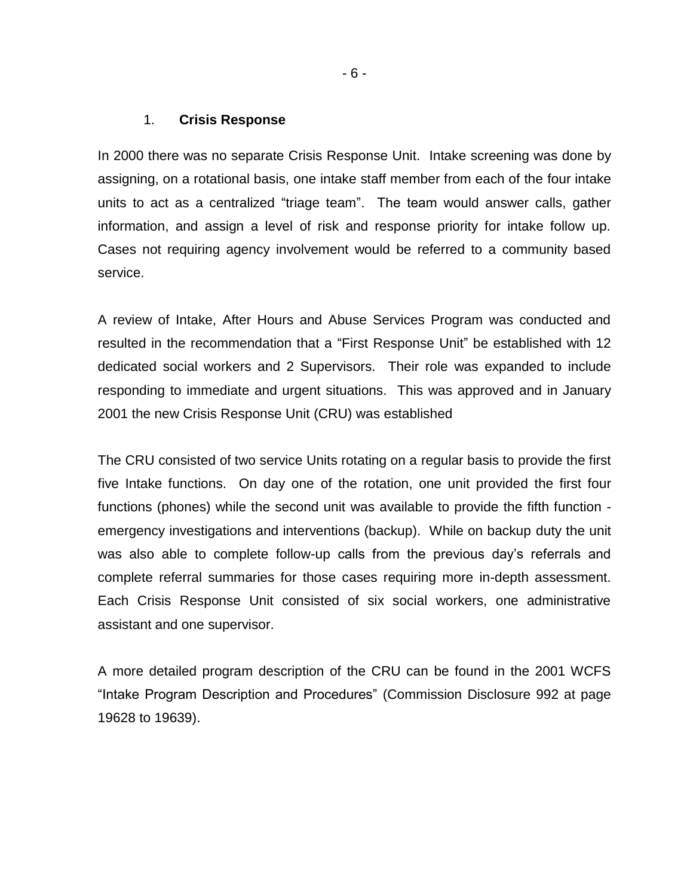#### 1. **Crisis Response**

In 2000 there was no separate Crisis Response Unit. Intake screening was done by assigning, on a rotational basis, one intake staff member from each of the four intake units to act as a centralized "triage team". The team would answer calls, gather information, and assign a level of risk and response priority for intake follow up. Cases not requiring agency involvement would be referred to a community based service.

A review of Intake, After Hours and Abuse Services Program was conducted and resulted in the recommendation that a "First Response Unit" be established with 12 dedicated social workers and 2 Supervisors. Their role was expanded to include responding to immediate and urgent situations. This was approved and in January 2001 the new Crisis Response Unit (CRU) was established

The CRU consisted of two service Units rotating on a regular basis to provide the first five Intake functions. On day one of the rotation, one unit provided the first four functions (phones) while the second unit was available to provide the fifth function emergency investigations and interventions (backup). While on backup duty the unit was also able to complete follow-up calls from the previous day's referrals and complete referral summaries for those cases requiring more in-depth assessment. Each Crisis Response Unit consisted of six social workers, one administrative assistant and one supervisor.

A more detailed program description of the CRU can be found in the 2001 WCFS "Intake Program Description and Procedures" (Commission Disclosure 992 at page 19628 to 19639).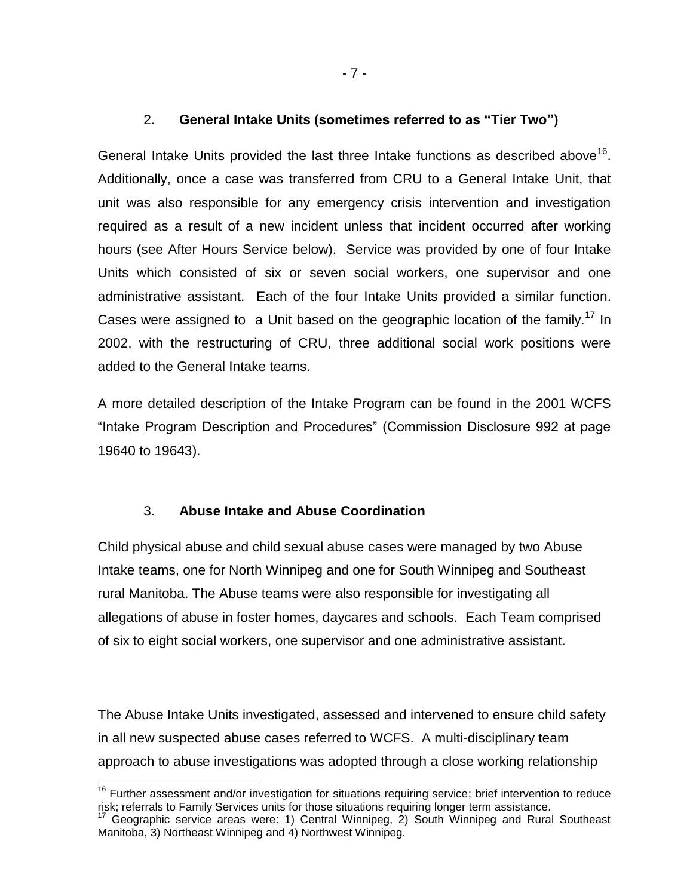## 2. **General Intake Units (sometimes referred to as "Tier Two")**

General Intake Units provided the last three Intake functions as described above<sup>16</sup>. Additionally, once a case was transferred from CRU to a General Intake Unit, that unit was also responsible for any emergency crisis intervention and investigation required as a result of a new incident unless that incident occurred after working hours (see After Hours Service below). Service was provided by one of four Intake Units which consisted of six or seven social workers, one supervisor and one administrative assistant. Each of the four Intake Units provided a similar function. Cases were assigned to a Unit based on the geographic location of the family.<sup>17</sup> In 2002, with the restructuring of CRU, three additional social work positions were added to the General Intake teams.

A more detailed description of the Intake Program can be found in the 2001 WCFS "Intake Program Description and Procedures" (Commission Disclosure 992 at page 19640 to 19643).

## 3. **Abuse Intake and Abuse Coordination**

l

Child physical abuse and child sexual abuse cases were managed by two Abuse Intake teams, one for North Winnipeg and one for South Winnipeg and Southeast rural Manitoba. The Abuse teams were also responsible for investigating all allegations of abuse in foster homes, daycares and schools. Each Team comprised of six to eight social workers, one supervisor and one administrative assistant.

The Abuse Intake Units investigated, assessed and intervened to ensure child safety in all new suspected abuse cases referred to WCFS. A multi-disciplinary team approach to abuse investigations was adopted through a close working relationship

<sup>&</sup>lt;sup>16</sup> Further assessment and/or investigation for situations requiring service; brief intervention to reduce risk; referrals to Family Services units for those situations requiring longer term assistance.

<sup>17</sup> Geographic service areas were: 1) Central Winnipeg, 2) South Winnipeg and Rural Southeast Manitoba, 3) Northeast Winnipeg and 4) Northwest Winnipeg.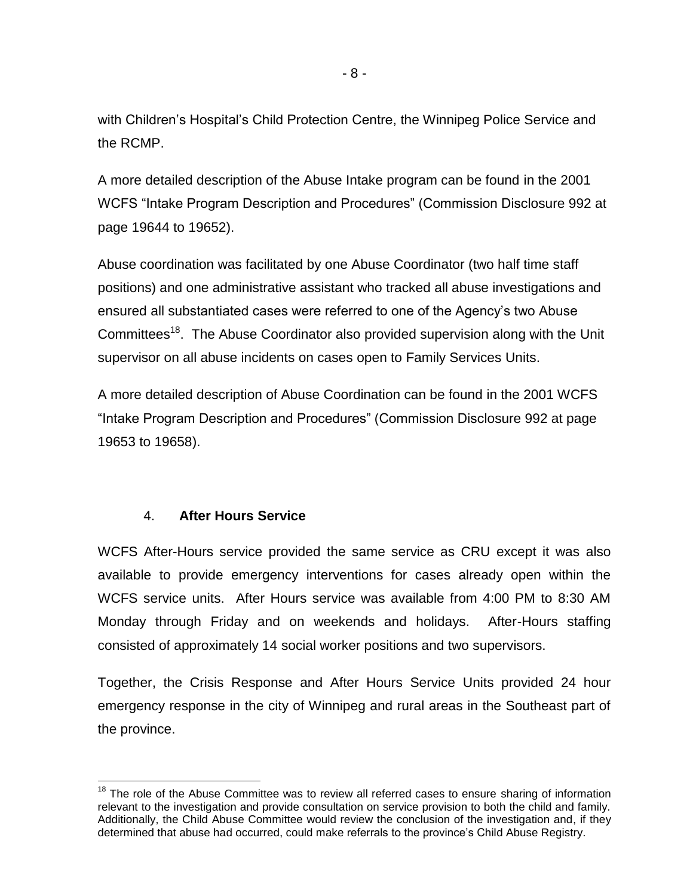with Children's Hospital's Child Protection Centre, the Winnipeg Police Service and the RCMP.

A more detailed description of the Abuse Intake program can be found in the 2001 WCFS "Intake Program Description and Procedures" (Commission Disclosure 992 at page 19644 to 19652).

Abuse coordination was facilitated by one Abuse Coordinator (two half time staff positions) and one administrative assistant who tracked all abuse investigations and ensured all substantiated cases were referred to one of the Agency's two Abuse Committees<sup>18</sup>. The Abuse Coordinator also provided supervision along with the Unit supervisor on all abuse incidents on cases open to Family Services Units.

A more detailed description of Abuse Coordination can be found in the 2001 WCFS "Intake Program Description and Procedures" (Commission Disclosure 992 at page 19653 to 19658).

# 4. **After Hours Service**

l

WCFS After-Hours service provided the same service as CRU except it was also available to provide emergency interventions for cases already open within the WCFS service units. After Hours service was available from 4:00 PM to 8:30 AM Monday through Friday and on weekends and holidays. After-Hours staffing consisted of approximately 14 social worker positions and two supervisors.

Together, the Crisis Response and After Hours Service Units provided 24 hour emergency response in the city of Winnipeg and rural areas in the Southeast part of the province.

 $18$  The role of the Abuse Committee was to review all referred cases to ensure sharing of information relevant to the investigation and provide consultation on service provision to both the child and family. Additionally, the Child Abuse Committee would review the conclusion of the investigation and, if they determined that abuse had occurred, could make referrals to the province's Child Abuse Registry.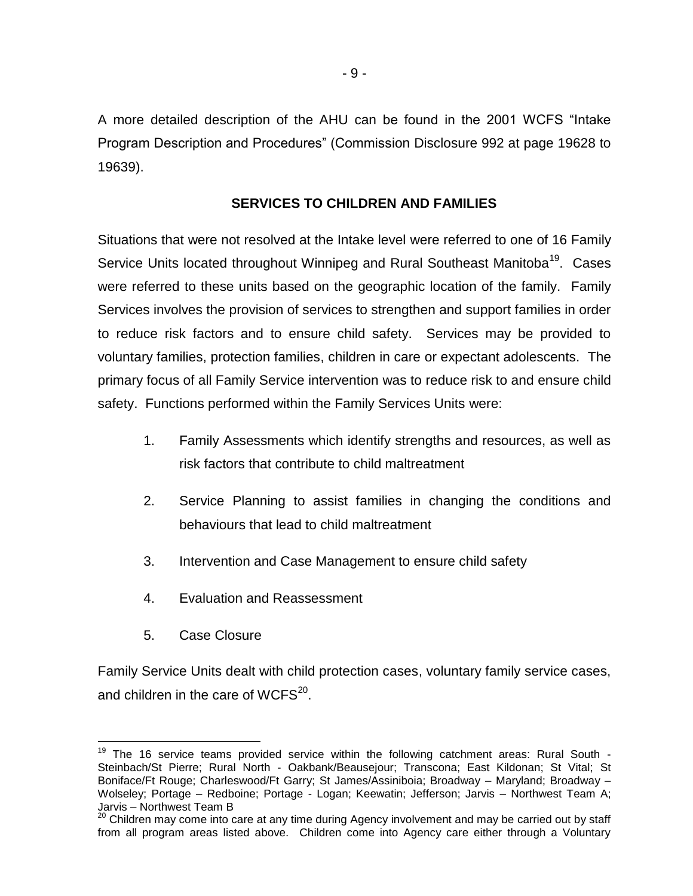A more detailed description of the AHU can be found in the 2001 WCFS "Intake Program Description and Procedures" (Commission Disclosure 992 at page 19628 to 19639).

### **SERVICES TO CHILDREN AND FAMILIES**

Situations that were not resolved at the Intake level were referred to one of 16 Family Service Units located throughout Winnipeg and Rural Southeast Manitoba<sup>19</sup>. Cases were referred to these units based on the geographic location of the family. Family Services involves the provision of services to strengthen and support families in order to reduce risk factors and to ensure child safety. Services may be provided to voluntary families, protection families, children in care or expectant adolescents. The primary focus of all Family Service intervention was to reduce risk to and ensure child safety. Functions performed within the Family Services Units were:

- 1. Family Assessments which identify strengths and resources, as well as risk factors that contribute to child maltreatment
- 2. Service Planning to assist families in changing the conditions and behaviours that lead to child maltreatment
- 3. Intervention and Case Management to ensure child safety
- 4. Evaluation and Reassessment
- 5. Case Closure

Family Service Units dealt with child protection cases, voluntary family service cases, and children in the care of WCFS $^{20}$ .

 $19$  The 16 service teams provided service within the following catchment areas: Rural South -Steinbach/St Pierre; Rural North - Oakbank/Beausejour; Transcona; East Kildonan; St Vital; St Boniface/Ft Rouge; Charleswood/Ft Garry; St James/Assiniboia; Broadway – Maryland; Broadway – Wolseley; Portage – Redboine; Portage - Logan; Keewatin; Jefferson; Jarvis – Northwest Team A; Jarvis – Northwest Team B

 $^{20}$  Children may come into care at any time during Agency involvement and may be carried out by staff from all program areas listed above. Children come into Agency care either through a Voluntary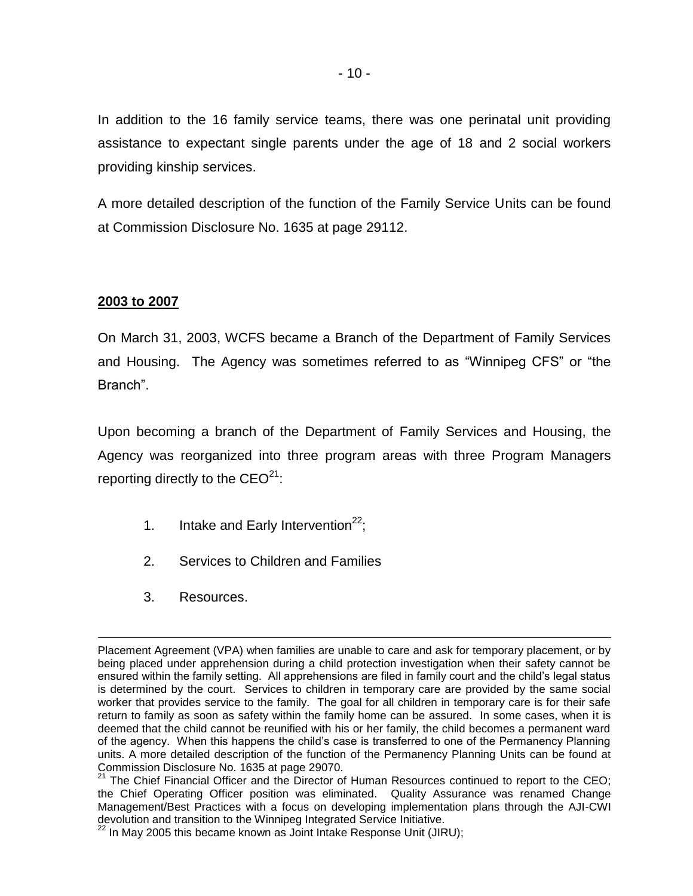In addition to the 16 family service teams, there was one perinatal unit providing assistance to expectant single parents under the age of 18 and 2 social workers providing kinship services.

A more detailed description of the function of the Family Service Units can be found at Commission Disclosure No. 1635 at page 29112.

### **2003 to 2007**

On March 31, 2003, WCFS became a Branch of the Department of Family Services and Housing. The Agency was sometimes referred to as "Winnipeg CFS" or "the Branch".

Upon becoming a branch of the Department of Family Services and Housing, the Agency was reorganized into three program areas with three Program Managers reporting directly to the  $CEO<sup>21</sup>$ :

- 1. Intake and Early Intervention<sup>22</sup>;
- 2. Services to Children and Families
- 3. Resources.

 Placement Agreement (VPA) when families are unable to care and ask for temporary placement, or by being placed under apprehension during a child protection investigation when their safety cannot be ensured within the family setting. All apprehensions are filed in family court and the child's legal status is determined by the court. Services to children in temporary care are provided by the same social worker that provides service to the family. The goal for all children in temporary care is for their safe return to family as soon as safety within the family home can be assured. In some cases, when it is deemed that the child cannot be reunified with his or her family, the child becomes a permanent ward of the agency. When this happens the child's case is transferred to one of the Permanency Planning units. A more detailed description of the function of the Permanency Planning Units can be found at Commission Disclosure No. 1635 at page 29070.

<sup>&</sup>lt;sup>21</sup> The Chief Financial Officer and the Director of Human Resources continued to report to the CEO; the Chief Operating Officer position was eliminated. Quality Assurance was renamed Change Management/Best Practices with a focus on developing implementation plans through the AJI-CWI devolution and transition to the Winnipeg Integrated Service Initiative.

 $^{22}$  In May 2005 this became known as Joint Intake Response Unit (JIRU);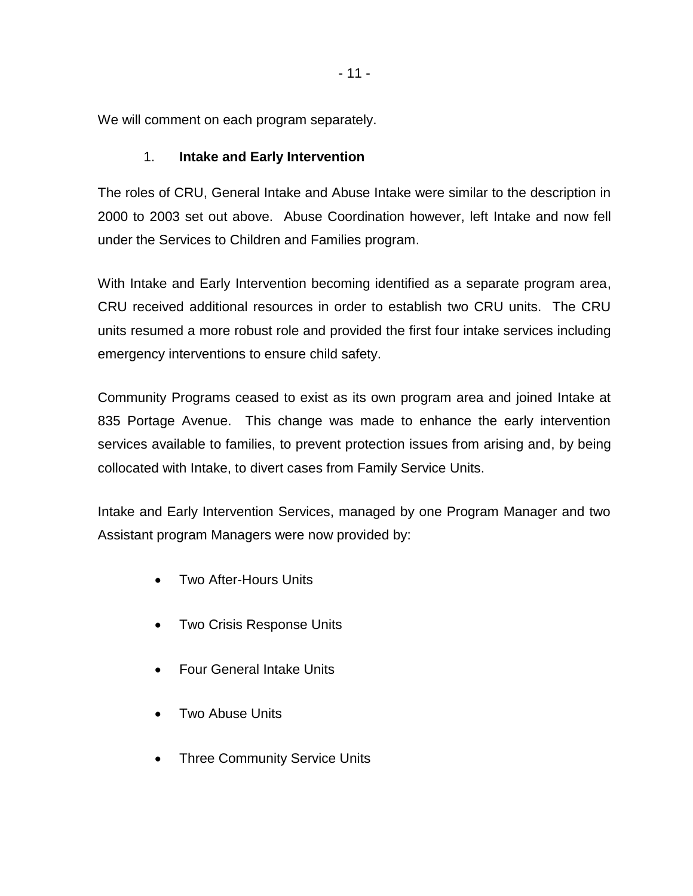We will comment on each program separately.

# 1. **Intake and Early Intervention**

The roles of CRU, General Intake and Abuse Intake were similar to the description in 2000 to 2003 set out above. Abuse Coordination however, left Intake and now fell under the Services to Children and Families program.

With Intake and Early Intervention becoming identified as a separate program area, CRU received additional resources in order to establish two CRU units. The CRU units resumed a more robust role and provided the first four intake services including emergency interventions to ensure child safety.

Community Programs ceased to exist as its own program area and joined Intake at 835 Portage Avenue. This change was made to enhance the early intervention services available to families, to prevent protection issues from arising and, by being collocated with Intake, to divert cases from Family Service Units.

Intake and Early Intervention Services, managed by one Program Manager and two Assistant program Managers were now provided by:

- Two After-Hours Units
- Two Crisis Response Units
- Four General Intake Units
- Two Abuse Units
- Three Community Service Units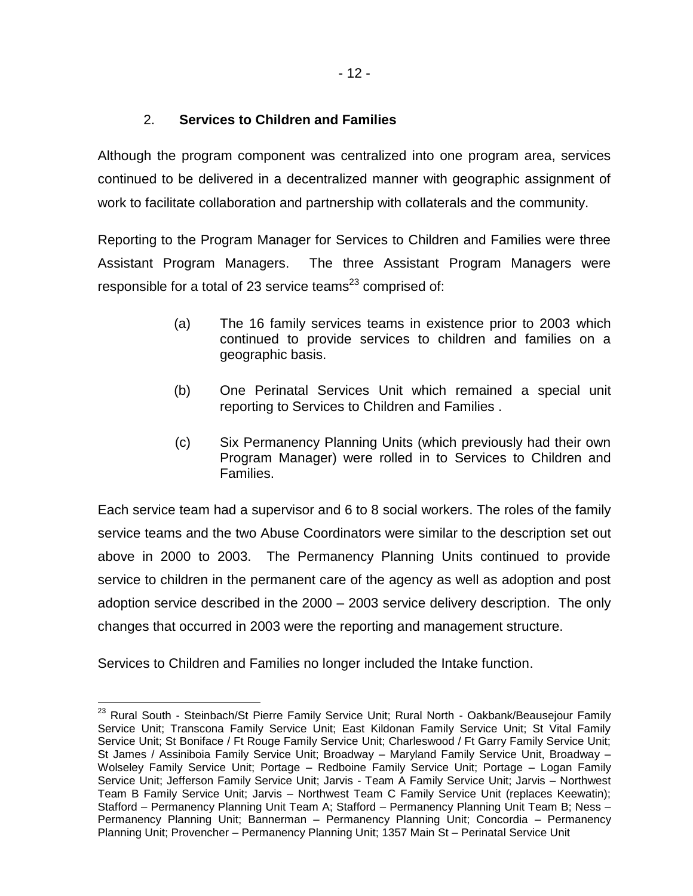# 2. **Services to Children and Families**

Although the program component was centralized into one program area, services continued to be delivered in a decentralized manner with geographic assignment of work to facilitate collaboration and partnership with collaterals and the community.

Reporting to the Program Manager for Services to Children and Families were three Assistant Program Managers. The three Assistant Program Managers were responsible for a total of 23 service teams<sup>23</sup> comprised of:

- (a) The 16 family services teams in existence prior to 2003 which continued to provide services to children and families on a geographic basis.
- (b) One Perinatal Services Unit which remained a special unit reporting to Services to Children and Families .
- (c) Six Permanency Planning Units (which previously had their own Program Manager) were rolled in to Services to Children and Families.

Each service team had a supervisor and 6 to 8 social workers. The roles of the family service teams and the two Abuse Coordinators were similar to the description set out above in 2000 to 2003. The Permanency Planning Units continued to provide service to children in the permanent care of the agency as well as adoption and post adoption service described in the 2000 – 2003 service delivery description. The only changes that occurred in 2003 were the reporting and management structure.

Services to Children and Families no longer included the Intake function.

 <sup>23</sup> Rural South - Steinbach/St Pierre Family Service Unit; Rural North - Oakbank/Beausejour Family Service Unit; Transcona Family Service Unit; East Kildonan Family Service Unit; St Vital Family Service Unit; St Boniface / Ft Rouge Family Service Unit; Charleswood / Ft Garry Family Service Unit; St James / Assiniboia Family Service Unit; Broadway – Maryland Family Service Unit, Broadway – Wolseley Family Service Unit; Portage – Redboine Family Service Unit; Portage – Logan Family Service Unit; Jefferson Family Service Unit; Jarvis - Team A Family Service Unit; Jarvis – Northwest Team B Family Service Unit; Jarvis – Northwest Team C Family Service Unit (replaces Keewatin); Stafford – Permanency Planning Unit Team A; Stafford – Permanency Planning Unit Team B; Ness – Permanency Planning Unit; Bannerman – Permanency Planning Unit; Concordia – Permanency Planning Unit; Provencher – Permanency Planning Unit; 1357 Main St – Perinatal Service Unit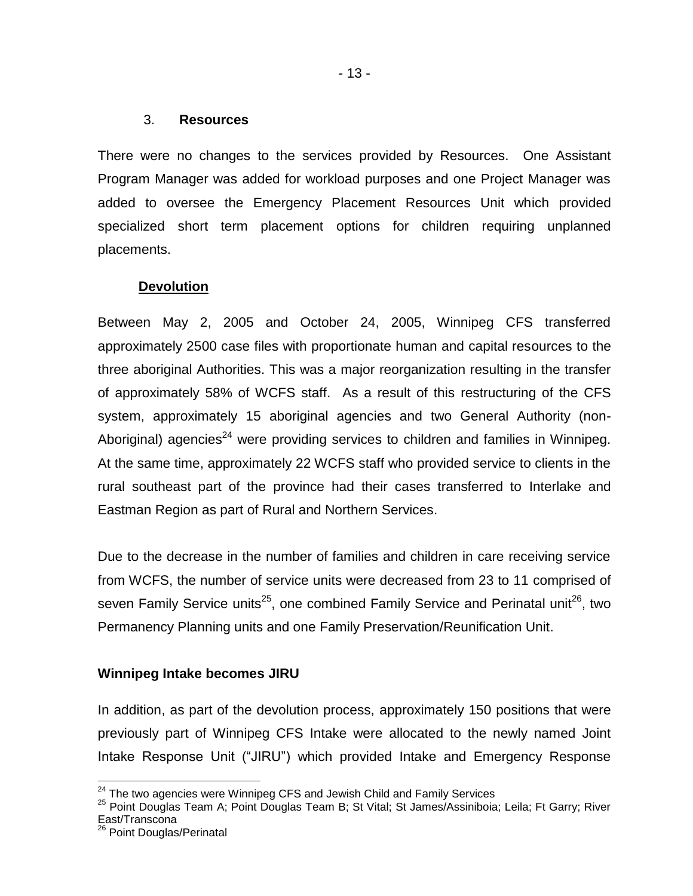#### 3. **Resources**

There were no changes to the services provided by Resources. One Assistant Program Manager was added for workload purposes and one Project Manager was added to oversee the Emergency Placement Resources Unit which provided specialized short term placement options for children requiring unplanned placements.

### **Devolution**

Between May 2, 2005 and October 24, 2005, Winnipeg CFS transferred approximately 2500 case files with proportionate human and capital resources to the three aboriginal Authorities. This was a major reorganization resulting in the transfer of approximately 58% of WCFS staff. As a result of this restructuring of the CFS system, approximately 15 aboriginal agencies and two General Authority (non-Aboriginal) agencies<sup>24</sup> were providing services to children and families in Winnipeg. At the same time, approximately 22 WCFS staff who provided service to clients in the rural southeast part of the province had their cases transferred to Interlake and Eastman Region as part of Rural and Northern Services.

Due to the decrease in the number of families and children in care receiving service from WCFS, the number of service units were decreased from 23 to 11 comprised of seven Family Service units<sup>25</sup>, one combined Family Service and Perinatal unit<sup>26</sup>, two Permanency Planning units and one Family Preservation/Reunification Unit.

### **Winnipeg Intake becomes JIRU**

In addition, as part of the devolution process, approximately 150 positions that were previously part of Winnipeg CFS Intake were allocated to the newly named Joint Intake Response Unit ("JIRU") which provided Intake and Emergency Response

 $^{24}$  The two agencies were Winnipeg CFS and Jewish Child and Family Services

<sup>&</sup>lt;sup>25</sup> Point Douglas Team A; Point Douglas Team B; St Vital; St James/Assiniboia; Leila; Ft Garry; River East/Transcona

<sup>&</sup>lt;sup>26</sup> Point Douglas/Perinatal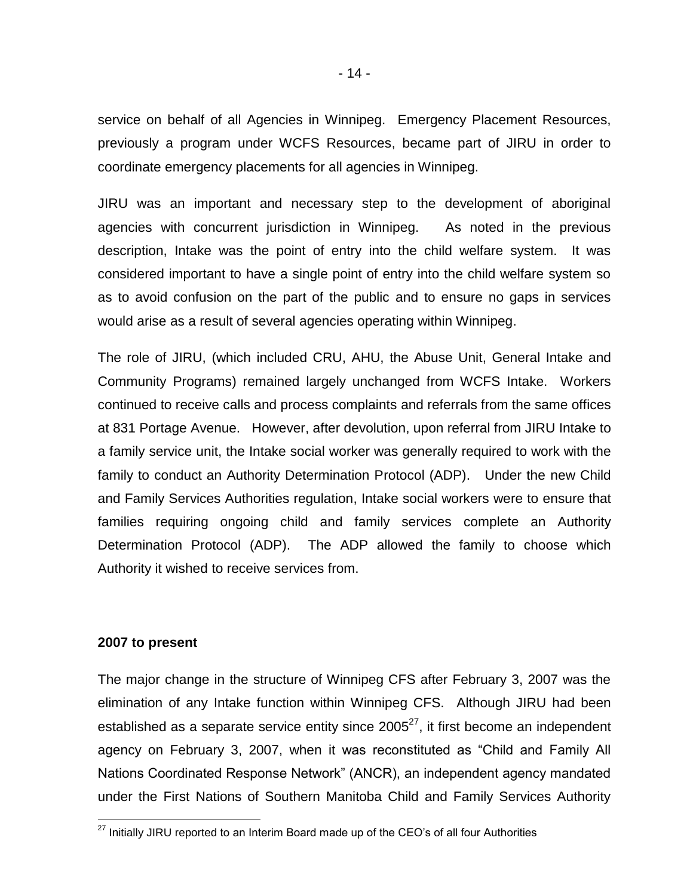service on behalf of all Agencies in Winnipeg. Emergency Placement Resources, previously a program under WCFS Resources, became part of JIRU in order to coordinate emergency placements for all agencies in Winnipeg.

JIRU was an important and necessary step to the development of aboriginal agencies with concurrent jurisdiction in Winnipeg. As noted in the previous description, Intake was the point of entry into the child welfare system. It was considered important to have a single point of entry into the child welfare system so as to avoid confusion on the part of the public and to ensure no gaps in services would arise as a result of several agencies operating within Winnipeg.

The role of JIRU, (which included CRU, AHU, the Abuse Unit, General Intake and Community Programs) remained largely unchanged from WCFS Intake. Workers continued to receive calls and process complaints and referrals from the same offices at 831 Portage Avenue. However, after devolution, upon referral from JIRU Intake to a family service unit, the Intake social worker was generally required to work with the family to conduct an Authority Determination Protocol (ADP). Under the new Child and Family Services Authorities regulation, Intake social workers were to ensure that families requiring ongoing child and family services complete an Authority Determination Protocol (ADP). The ADP allowed the family to choose which Authority it wished to receive services from.

#### **2007 to present**

The major change in the structure of Winnipeg CFS after February 3, 2007 was the elimination of any Intake function within Winnipeg CFS. Although JIRU had been established as a separate service entity since  $2005^{27}$ , it first become an independent agency on February 3, 2007, when it was reconstituted as "Child and Family All Nations Coordinated Response Network" (ANCR), an independent agency mandated under the First Nations of Southern Manitoba Child and Family Services Authority

 $27$  Initially JIRU reported to an Interim Board made up of the CEO's of all four Authorities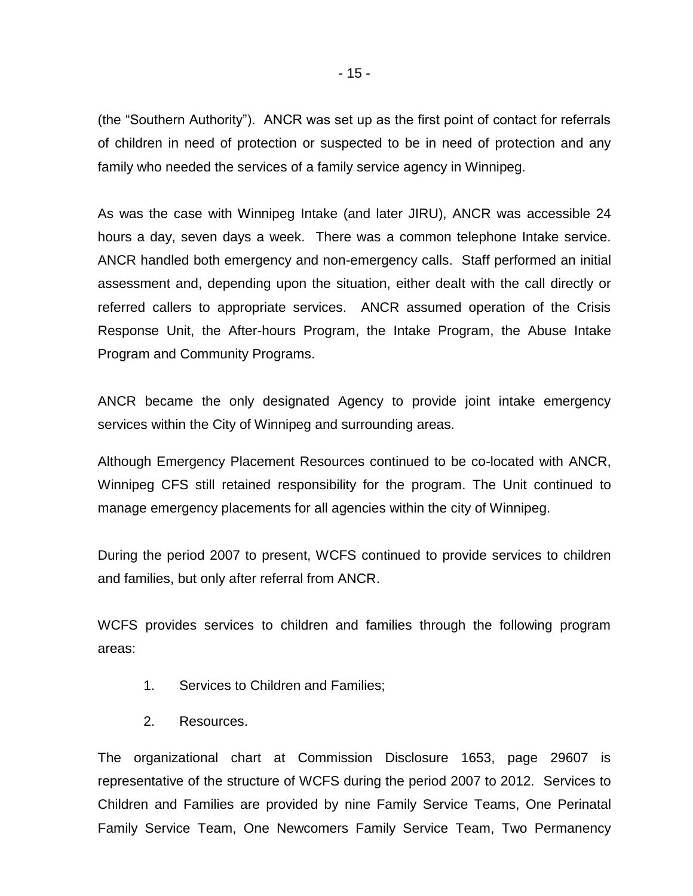(the "Southern Authority"). ANCR was set up as the first point of contact for referrals of children in need of protection or suspected to be in need of protection and any family who needed the services of a family service agency in Winnipeg.

As was the case with Winnipeg Intake (and later JIRU), ANCR was accessible 24 hours a day, seven days a week. There was a common telephone Intake service. ANCR handled both emergency and non-emergency calls. Staff performed an initial assessment and, depending upon the situation, either dealt with the call directly or referred callers to appropriate services. ANCR assumed operation of the Crisis Response Unit, the After-hours Program, the Intake Program, the Abuse Intake Program and Community Programs.

ANCR became the only designated Agency to provide joint intake emergency services within the City of Winnipeg and surrounding areas.

Although Emergency Placement Resources continued to be co-located with ANCR, Winnipeg CFS still retained responsibility for the program. The Unit continued to manage emergency placements for all agencies within the city of Winnipeg.

During the period 2007 to present, WCFS continued to provide services to children and families, but only after referral from ANCR.

WCFS provides services to children and families through the following program areas:

- 1. Services to Children and Families;
- 2. Resources.

The organizational chart at Commission Disclosure 1653, page 29607 is representative of the structure of WCFS during the period 2007 to 2012. Services to Children and Families are provided by nine Family Service Teams, One Perinatal Family Service Team, One Newcomers Family Service Team, Two Permanency